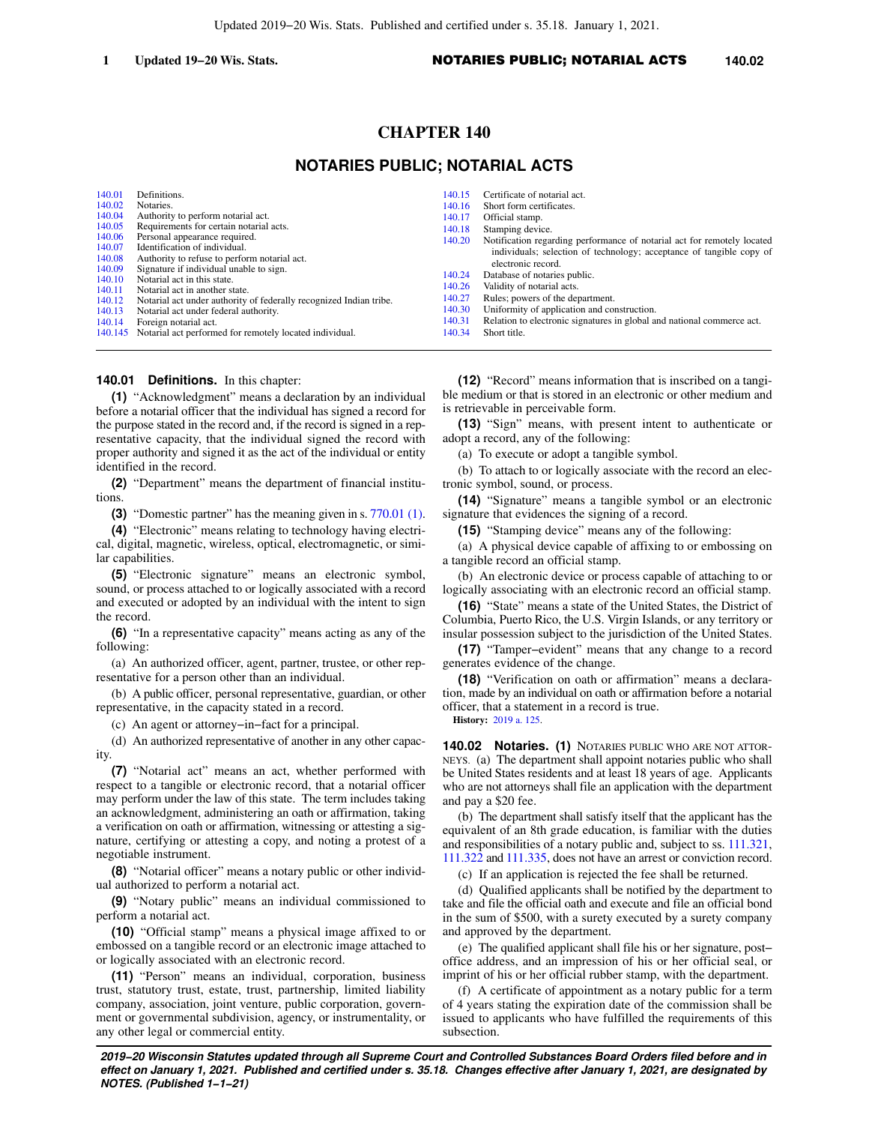# **CHAPTER 140**

## **NOTARIES PUBLIC; NOTARIAL ACTS**

| 140.01 | Definitions.                                                       | 140.15 | Certificate of notarial act.                                            |
|--------|--------------------------------------------------------------------|--------|-------------------------------------------------------------------------|
| 140.02 | Notaries.                                                          | 140.16 | Short form certificates.                                                |
| 140.04 | Authority to perform notarial act.                                 | 140.17 | Official stamp.                                                         |
| 140.05 | Requirements for certain notarial acts.                            | 140.18 | Stamping device.                                                        |
| 140.06 | Personal appearance required.                                      | 140.20 | Notification regarding performance of notarial act for remotely located |
| 140.07 | Identification of individual.                                      |        | individuals; selection of technology; acceptance of tangible copy of    |
| 140.08 | Authority to refuse to perform notarial act.                       |        | electronic record.                                                      |
| 140.09 | Signature if individual unable to sign.                            | 140.24 | Database of notaries public.                                            |
| 140.10 | Notarial act in this state.                                        | 140.26 | Validity of notarial acts.                                              |
| 140.11 | Notarial act in another state.                                     |        |                                                                         |
| 140.12 | Notarial act under authority of federally recognized Indian tribe. | 140.27 | Rules; powers of the department.                                        |
| 140.13 | Notarial act under federal authority.                              | 140.30 | Uniformity of application and construction.                             |
| 140.14 | Foreign notarial act.                                              | 140.31 | Relation to electronic signatures in global and national commerce act.  |
|        | 140.145 Notarial act performed for remotely located individual.    | 140.34 | Short title.                                                            |

#### **140.01 Definitions.** In this chapter:

**(1)** "Acknowledgment" means a declaration by an individual before a notarial officer that the individual has signed a record for the purpose stated in the record and, if the record is signed in a representative capacity, that the individual signed the record with proper authority and signed it as the act of the individual or entity identified in the record.

**(2)** "Department" means the department of financial institutions.

**(3)** "Domestic partner" has the meaning given in s. [770.01 \(1\).](https://docs-preview.legis.wisconsin.gov/document/statutes/770.01(1))

**(4)** "Electronic" means relating to technology having electrical, digital, magnetic, wireless, optical, electromagnetic, or similar capabilities.

**(5)** "Electronic signature" means an electronic symbol, sound, or process attached to or logically associated with a record and executed or adopted by an individual with the intent to sign the record.

**(6)** "In a representative capacity" means acting as any of the following:

(a) An authorized officer, agent, partner, trustee, or other representative for a person other than an individual.

(b) A public officer, personal representative, guardian, or other representative, in the capacity stated in a record.

(c) An agent or attorney−in−fact for a principal.

(d) An authorized representative of another in any other capacity.

**(7)** "Notarial act" means an act, whether performed with respect to a tangible or electronic record, that a notarial officer may perform under the law of this state. The term includes taking an acknowledgment, administering an oath or affirmation, taking a verification on oath or affirmation, witnessing or attesting a signature, certifying or attesting a copy, and noting a protest of a negotiable instrument.

**(8)** "Notarial officer" means a notary public or other individual authorized to perform a notarial act.

**(9)** "Notary public" means an individual commissioned to perform a notarial act.

**(10)** "Official stamp" means a physical image affixed to or embossed on a tangible record or an electronic image attached to or logically associated with an electronic record.

**(11)** "Person" means an individual, corporation, business trust, statutory trust, estate, trust, partnership, limited liability company, association, joint venture, public corporation, government or governmental subdivision, agency, or instrumentality, or any other legal or commercial entity.

**(12)** "Record" means information that is inscribed on a tangible medium or that is stored in an electronic or other medium and is retrievable in perceivable form.

**(13)** "Sign" means, with present intent to authenticate or adopt a record, any of the following:

(a) To execute or adopt a tangible symbol.

(b) To attach to or logically associate with the record an electronic symbol, sound, or process.

**(14)** "Signature" means a tangible symbol or an electronic signature that evidences the signing of a record.

**(15)** "Stamping device" means any of the following:

(a) A physical device capable of affixing to or embossing on a tangible record an official stamp.

(b) An electronic device or process capable of attaching to or logically associating with an electronic record an official stamp.

**(16)** "State" means a state of the United States, the District of Columbia, Puerto Rico, the U.S. Virgin Islands, or any territory or insular possession subject to the jurisdiction of the United States.

**(17)** "Tamper−evident" means that any change to a record generates evidence of the change.

**(18)** "Verification on oath or affirmation" means a declaration, made by an individual on oath or affirmation before a notarial officer, that a statement in a record is true.

**History:** [2019 a. 125.](https://docs-preview.legis.wisconsin.gov/document/acts/2019/125)

**140.02 Notaries. (1)** NOTARIES PUBLIC WHO ARE NOT ATTOR-NEYS. (a) The department shall appoint notaries public who shall be United States residents and at least 18 years of age. Applicants who are not attorneys shall file an application with the department and pay a \$20 fee.

(b) The department shall satisfy itself that the applicant has the equivalent of an 8th grade education, is familiar with the duties and responsibilities of a notary public and, subject to ss. [111.321,](https://docs-preview.legis.wisconsin.gov/document/statutes/111.321) [111.322](https://docs-preview.legis.wisconsin.gov/document/statutes/111.322) and [111.335,](https://docs-preview.legis.wisconsin.gov/document/statutes/111.335) does not have an arrest or conviction record.

(c) If an application is rejected the fee shall be returned.

(d) Qualified applicants shall be notified by the department to take and file the official oath and execute and file an official bond in the sum of \$500, with a surety executed by a surety company and approved by the department.

(e) The qualified applicant shall file his or her signature, post− office address, and an impression of his or her official seal, or imprint of his or her official rubber stamp, with the department.

(f) A certificate of appointment as a notary public for a term of 4 years stating the expiration date of the commission shall be issued to applicants who have fulfilled the requirements of this subsection.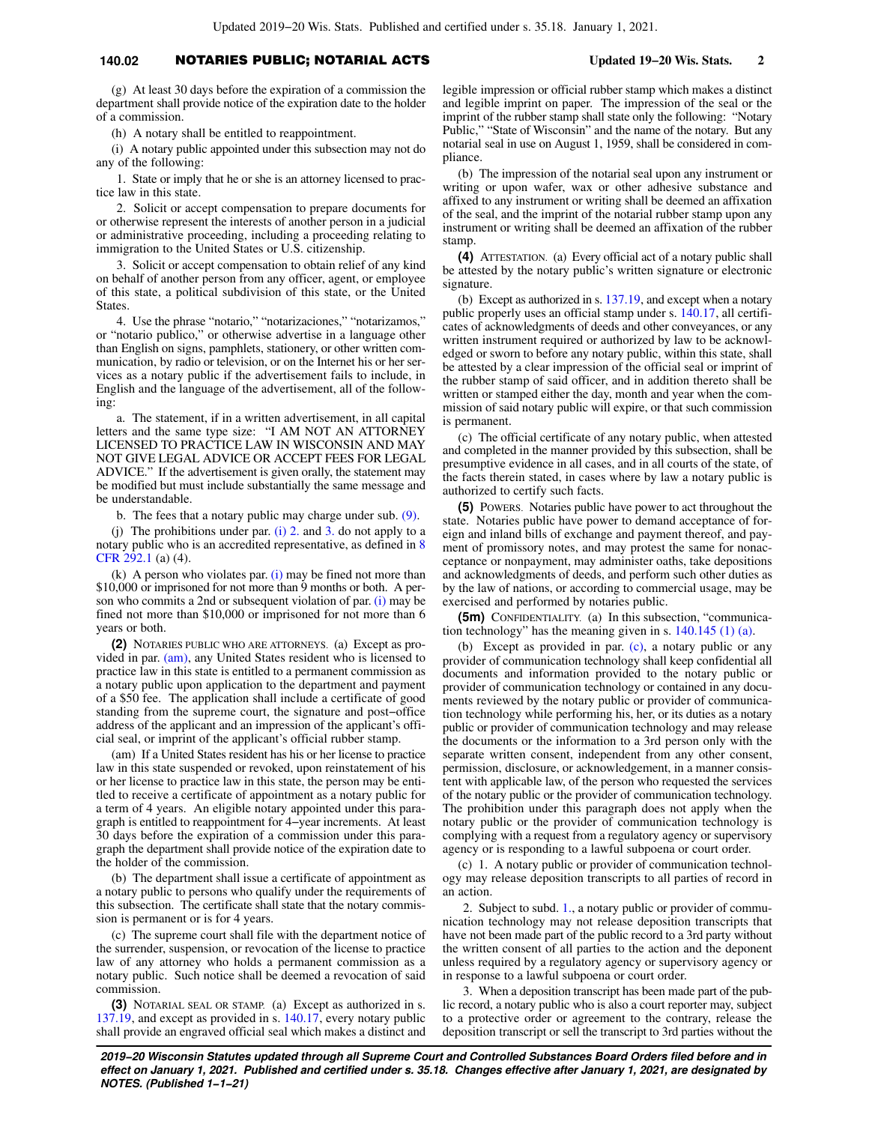## **140.02** NOTARIES PUBLIC; NOTARIAL ACTS **Updated 19−20 Wis. Stats. 2**

(g) At least 30 days before the expiration of a commission the department shall provide notice of the expiration date to the holder of a commission.

(h) A notary shall be entitled to reappointment.

(i) A notary public appointed under this subsection may not do any of the following:

1. State or imply that he or she is an attorney licensed to practice law in this state.

2. Solicit or accept compensation to prepare documents for or otherwise represent the interests of another person in a judicial or administrative proceeding, including a proceeding relating to immigration to the United States or U.S. citizenship.

3. Solicit or accept compensation to obtain relief of any kind on behalf of another person from any officer, agent, or employee of this state, a political subdivision of this state, or the United **States** 

4. Use the phrase "notario," "notarizaciones," "notarizamos," or "notario publico," or otherwise advertise in a language other than English on signs, pamphlets, stationery, or other written communication, by radio or television, or on the Internet his or her services as a notary public if the advertisement fails to include, in English and the language of the advertisement, all of the following:

a. The statement, if in a written advertisement, in all capital letters and the same type size: "I AM NOT AN ATTORNEY LICENSED TO PRACTICE LAW IN WISCONSIN AND MAY NOT GIVE LEGAL ADVICE OR ACCEPT FEES FOR LEGAL ADVICE." If the advertisement is given orally, the statement may be modified but must include substantially the same message and be understandable.

b. The fees that a notary public may charge under sub. [\(9\).](https://docs-preview.legis.wisconsin.gov/document/statutes/140.02(9))

(j) The prohibitions under par. [\(i\) 2.](https://docs-preview.legis.wisconsin.gov/document/statutes/140.02(1)(i)2.) and [3.](https://docs-preview.legis.wisconsin.gov/document/statutes/140.02(1)(i)3.) do not apply to a notary public who is an accredited representative, as defined in [8](https://docs-preview.legis.wisconsin.gov/document/cfr/8%20CFR%20292.1) [CFR 292.1](https://docs-preview.legis.wisconsin.gov/document/cfr/8%20CFR%20292.1) (a) (4).

(k) A person who violates par.  $(i)$  may be fined not more than \$10,000 or imprisoned for not more than 9 months or both. A person who commits a 2nd or subsequent violation of par. [\(i\)](https://docs-preview.legis.wisconsin.gov/document/statutes/140.02(1)(i)) may be fined not more than \$10,000 or imprisoned for not more than 6 years or both.

**(2)** NOTARIES PUBLIC WHO ARE ATTORNEYS. (a) Except as provided in par. [\(am\)](https://docs-preview.legis.wisconsin.gov/document/statutes/140.02(2)(am)), any United States resident who is licensed to practice law in this state is entitled to a permanent commission as a notary public upon application to the department and payment of a \$50 fee. The application shall include a certificate of good standing from the supreme court, the signature and post−office address of the applicant and an impression of the applicant's official seal, or imprint of the applicant's official rubber stamp.

(am) If a United States resident has his or her license to practice law in this state suspended or revoked, upon reinstatement of his or her license to practice law in this state, the person may be entitled to receive a certificate of appointment as a notary public for a term of 4 years. An eligible notary appointed under this paragraph is entitled to reappointment for 4−year increments. At least 30 days before the expiration of a commission under this paragraph the department shall provide notice of the expiration date to the holder of the commission.

(b) The department shall issue a certificate of appointment as a notary public to persons who qualify under the requirements of this subsection. The certificate shall state that the notary commission is permanent or is for 4 years.

(c) The supreme court shall file with the department notice of the surrender, suspension, or revocation of the license to practice law of any attorney who holds a permanent commission as a notary public. Such notice shall be deemed a revocation of said commission.

**(3)** NOTARIAL SEAL OR STAMP. (a) Except as authorized in s. [137.19,](https://docs-preview.legis.wisconsin.gov/document/statutes/137.19) and except as provided in s. [140.17](https://docs-preview.legis.wisconsin.gov/document/statutes/140.17), every notary public shall provide an engraved official seal which makes a distinct and legible impression or official rubber stamp which makes a distinct and legible imprint on paper. The impression of the seal or the imprint of the rubber stamp shall state only the following: "Notary Public," "State of Wisconsin" and the name of the notary. But any notarial seal in use on August 1, 1959, shall be considered in compliance.

(b) The impression of the notarial seal upon any instrument or writing or upon wafer, wax or other adhesive substance and affixed to any instrument or writing shall be deemed an affixation of the seal, and the imprint of the notarial rubber stamp upon any instrument or writing shall be deemed an affixation of the rubber stamp.

**(4)** ATTESTATION. (a) Every official act of a notary public shall be attested by the notary public's written signature or electronic signature.

(b) Except as authorized in s. [137.19,](https://docs-preview.legis.wisconsin.gov/document/statutes/137.19) and except when a notary public properly uses an official stamp under s. [140.17](https://docs-preview.legis.wisconsin.gov/document/statutes/140.17), all certificates of acknowledgments of deeds and other conveyances, or any written instrument required or authorized by law to be acknowledged or sworn to before any notary public, within this state, shall be attested by a clear impression of the official seal or imprint of the rubber stamp of said officer, and in addition thereto shall be written or stamped either the day, month and year when the commission of said notary public will expire, or that such commission is permanent.

(c) The official certificate of any notary public, when attested and completed in the manner provided by this subsection, shall be presumptive evidence in all cases, and in all courts of the state, of the facts therein stated, in cases where by law a notary public is authorized to certify such facts.

**(5)** POWERS. Notaries public have power to act throughout the state. Notaries public have power to demand acceptance of foreign and inland bills of exchange and payment thereof, and payment of promissory notes, and may protest the same for nonacceptance or nonpayment, may administer oaths, take depositions and acknowledgments of deeds, and perform such other duties as by the law of nations, or according to commercial usage, may be exercised and performed by notaries public.

**(5m)** CONFIDENTIALITY. (a) In this subsection, "communication technology" has the meaning given in s. [140.145 \(1\) \(a\)](https://docs-preview.legis.wisconsin.gov/document/statutes/140.145(1)(a)).

(b) Except as provided in par. [\(c\),](https://docs-preview.legis.wisconsin.gov/document/statutes/140.02(5m)(c)) a notary public or any provider of communication technology shall keep confidential all documents and information provided to the notary public or provider of communication technology or contained in any documents reviewed by the notary public or provider of communication technology while performing his, her, or its duties as a notary public or provider of communication technology and may release the documents or the information to a 3rd person only with the separate written consent, independent from any other consent, permission, disclosure, or acknowledgement, in a manner consistent with applicable law, of the person who requested the services of the notary public or the provider of communication technology. The prohibition under this paragraph does not apply when the notary public or the provider of communication technology is complying with a request from a regulatory agency or supervisory agency or is responding to a lawful subpoena or court order.

(c) 1. A notary public or provider of communication technology may release deposition transcripts to all parties of record in an action.

2. Subject to subd. [1.](https://docs-preview.legis.wisconsin.gov/document/statutes/140.02(5m)(c)1.), a notary public or provider of communication technology may not release deposition transcripts that have not been made part of the public record to a 3rd party without the written consent of all parties to the action and the deponent unless required by a regulatory agency or supervisory agency or in response to a lawful subpoena or court order.

3. When a deposition transcript has been made part of the public record, a notary public who is also a court reporter may, subject to a protective order or agreement to the contrary, release the deposition transcript or sell the transcript to 3rd parties without the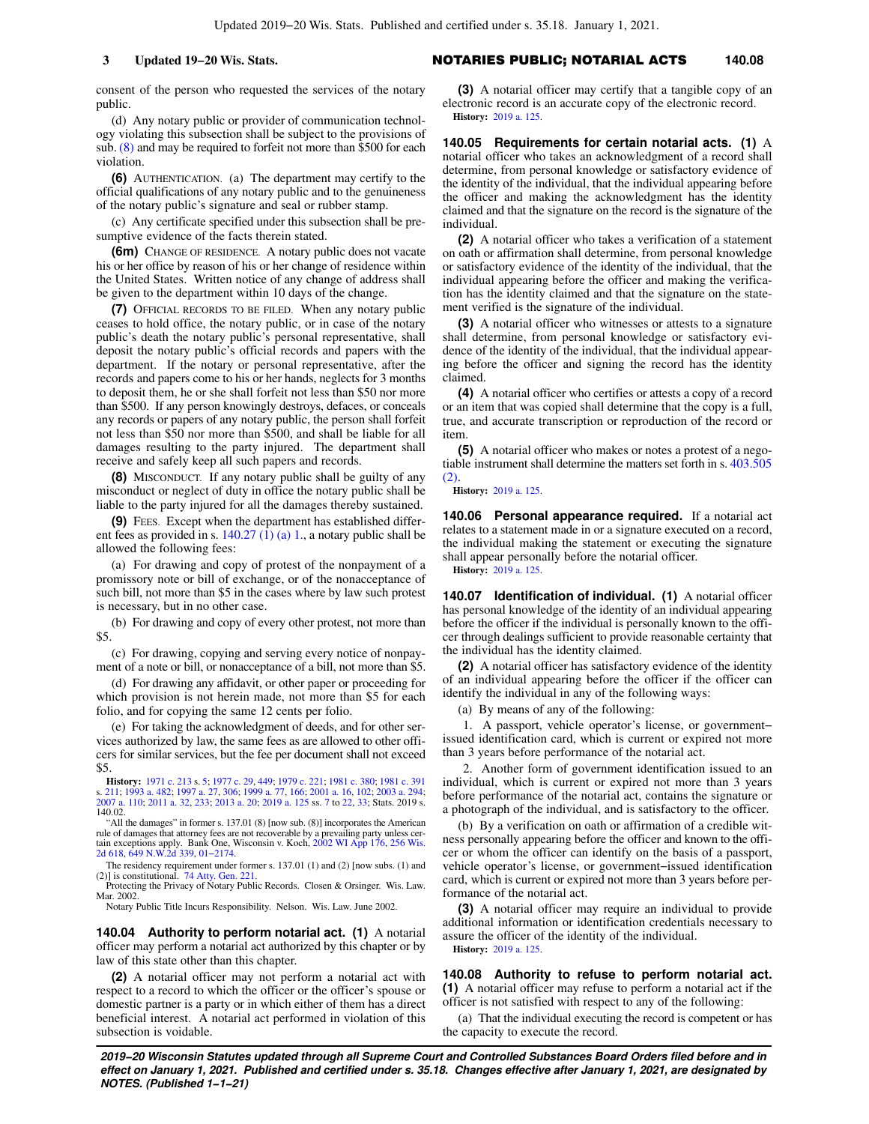consent of the person who requested the services of the notary public.

(d) Any notary public or provider of communication technology violating this subsection shall be subject to the provisions of sub. [\(8\)](https://docs-preview.legis.wisconsin.gov/document/statutes/140.02(8)) and may be required to forfeit not more than \$500 for each violation.

**(6)** AUTHENTICATION. (a) The department may certify to the official qualifications of any notary public and to the genuineness of the notary public's signature and seal or rubber stamp.

(c) Any certificate specified under this subsection shall be presumptive evidence of the facts therein stated.

**(6m)** CHANGE OF RESIDENCE. A notary public does not vacate his or her office by reason of his or her change of residence within the United States. Written notice of any change of address shall be given to the department within 10 days of the change.

**(7)** OFFICIAL RECORDS TO BE FILED. When any notary public ceases to hold office, the notary public, or in case of the notary public's death the notary public's personal representative, shall deposit the notary public's official records and papers with the department. If the notary or personal representative, after the records and papers come to his or her hands, neglects for 3 months to deposit them, he or she shall forfeit not less than \$50 nor more than \$500. If any person knowingly destroys, defaces, or conceals any records or papers of any notary public, the person shall forfeit not less than \$50 nor more than \$500, and shall be liable for all damages resulting to the party injured. The department shall receive and safely keep all such papers and records.

**(8)** MISCONDUCT. If any notary public shall be guilty of any misconduct or neglect of duty in office the notary public shall be liable to the party injured for all the damages thereby sustained.

**(9)** FEES. Except when the department has established different fees as provided in s. [140.27 \(1\) \(a\) 1.,](https://docs-preview.legis.wisconsin.gov/document/statutes/140.27(1)(a)1.) a notary public shall be allowed the following fees:

(a) For drawing and copy of protest of the nonpayment of a promissory note or bill of exchange, or of the nonacceptance of such bill, not more than \$5 in the cases where by law such protest is necessary, but in no other case.

(b) For drawing and copy of every other protest, not more than \$5.

(c) For drawing, copying and serving every notice of nonpayment of a note or bill, or nonacceptance of a bill, not more than \$5.

(d) For drawing any affidavit, or other paper or proceeding for which provision is not herein made, not more than \$5 for each folio, and for copying the same 12 cents per folio.

(e) For taking the acknowledgment of deeds, and for other services authorized by law, the same fees as are allowed to other officers for similar services, but the fee per document shall not exceed \$5.

**History:** [1971 c. 213](https://docs-preview.legis.wisconsin.gov/document/acts/1971/213) s. [5](https://docs-preview.legis.wisconsin.gov/document/acts/1971/213,%20s.%205); [1977 c. 29](https://docs-preview.legis.wisconsin.gov/document/acts/1977/29), [449](https://docs-preview.legis.wisconsin.gov/document/acts/1977/449); [1979 c. 221](https://docs-preview.legis.wisconsin.gov/document/acts/1979/221); [1981 c. 380](https://docs-preview.legis.wisconsin.gov/document/acts/1981/380); [1981 c. 391](https://docs-preview.legis.wisconsin.gov/document/acts/1981/391) s. [211](https://docs-preview.legis.wisconsin.gov/document/acts/1981/391,%20s.%20211); [1993 a. 482;](https://docs-preview.legis.wisconsin.gov/document/acts/1993/482) [1997 a. 27,](https://docs-preview.legis.wisconsin.gov/document/acts/1997/27) [306;](https://docs-preview.legis.wisconsin.gov/document/acts/1997/306) [1999 a. 77,](https://docs-preview.legis.wisconsin.gov/document/acts/1999/77) [166;](https://docs-preview.legis.wisconsin.gov/document/acts/1999/166) [2001 a. 16,](https://docs-preview.legis.wisconsin.gov/document/acts/2001/16) [102;](https://docs-preview.legis.wisconsin.gov/document/acts/2001/102) [2003 a. 294](https://docs-preview.legis.wisconsin.gov/document/acts/2003/294); [2007 a. 110;](https://docs-preview.legis.wisconsin.gov/document/acts/2007/110) [2011 a. 32,](https://docs-preview.legis.wisconsin.gov/document/acts/2011/32) [233;](https://docs-preview.legis.wisconsin.gov/document/acts/2011/233) [2013 a. 20](https://docs-preview.legis.wisconsin.gov/document/acts/2013/20); [2019 a. 125](https://docs-preview.legis.wisconsin.gov/document/acts/2019/125) ss. [7](https://docs-preview.legis.wisconsin.gov/document/acts/2019/125,%20s.%207) to [22](https://docs-preview.legis.wisconsin.gov/document/acts/2019/125,%20s.%2022), [33;](https://docs-preview.legis.wisconsin.gov/document/acts/2019/125,%20s.%2033) Stats. 2019 s. 140.02.

"All the damages" in former s. 137.01 (8) [now sub. (8)] incorporates the American rule of damages that attorney fees are not recoverable by a prevailing party unless cer-tain exceptions apply. Bank One, Wisconsin v. Koch, [2002 WI App 176](https://docs-preview.legis.wisconsin.gov/document/courts/2002%20WI%20App%20176), [256 Wis.](https://docs-preview.legis.wisconsin.gov/document/courts/256%20Wis.%202d%20618) [2d 618](https://docs-preview.legis.wisconsin.gov/document/courts/256%20Wis.%202d%20618), [649 N.W.2d 339,](https://docs-preview.legis.wisconsin.gov/document/courts/649%20N.W.2d%20339) [01−2174.](https://docs-preview.legis.wisconsin.gov/document/wicourtofappeals/01-2174)

The residency requirement under former s. 137.01 (1) and (2) [now subs. (1) and (2)] is constitutional. [74 Atty. Gen. 221.](https://docs-preview.legis.wisconsin.gov/document/oag/vol74-221) Protecting the Privacy of Notary Public Records. Closen & Orsinger. Wis. Law.

Mar. 2002. Notary Public Title Incurs Responsibility. Nelson. Wis. Law. June 2002.

**140.04 Authority to perform notarial act. (1)** A notarial officer may perform a notarial act authorized by this chapter or by law of this state other than this chapter.

**(2)** A notarial officer may not perform a notarial act with respect to a record to which the officer or the officer's spouse or domestic partner is a party or in which either of them has a direct beneficial interest. A notarial act performed in violation of this subsection is voidable.

**(3)** A notarial officer may certify that a tangible copy of an electronic record is an accurate copy of the electronic record. **History:** [2019 a. 125.](https://docs-preview.legis.wisconsin.gov/document/acts/2019/125)

**140.05 Requirements for certain notarial acts. (1)** A notarial officer who takes an acknowledgment of a record shall determine, from personal knowledge or satisfactory evidence of the identity of the individual, that the individual appearing before the officer and making the acknowledgment has the identity claimed and that the signature on the record is the signature of the individual.

**(2)** A notarial officer who takes a verification of a statement on oath or affirmation shall determine, from personal knowledge or satisfactory evidence of the identity of the individual, that the individual appearing before the officer and making the verification has the identity claimed and that the signature on the statement verified is the signature of the individual.

**(3)** A notarial officer who witnesses or attests to a signature shall determine, from personal knowledge or satisfactory evidence of the identity of the individual, that the individual appearing before the officer and signing the record has the identity claimed.

**(4)** A notarial officer who certifies or attests a copy of a record or an item that was copied shall determine that the copy is a full, true, and accurate transcription or reproduction of the record or item.

**(5)** A notarial officer who makes or notes a protest of a negotiable instrument shall determine the matters set forth in s. [403.505](https://docs-preview.legis.wisconsin.gov/document/statutes/403.505(2)) [\(2\).](https://docs-preview.legis.wisconsin.gov/document/statutes/403.505(2))

**History:** [2019 a. 125.](https://docs-preview.legis.wisconsin.gov/document/acts/2019/125)

**140.06 Personal appearance required.** If a notarial act relates to a statement made in or a signature executed on a record, the individual making the statement or executing the signature shall appear personally before the notarial officer.

**History:** [2019 a. 125.](https://docs-preview.legis.wisconsin.gov/document/acts/2019/125)

**140.07 Identification of individual. (1)** A notarial officer has personal knowledge of the identity of an individual appearing before the officer if the individual is personally known to the officer through dealings sufficient to provide reasonable certainty that the individual has the identity claimed.

**(2)** A notarial officer has satisfactory evidence of the identity of an individual appearing before the officer if the officer can identify the individual in any of the following ways:

(a) By means of any of the following:

1. A passport, vehicle operator's license, or government− issued identification card, which is current or expired not more than 3 years before performance of the notarial act.

2. Another form of government identification issued to an individual, which is current or expired not more than 3 years before performance of the notarial act, contains the signature or a photograph of the individual, and is satisfactory to the officer.

(b) By a verification on oath or affirmation of a credible witness personally appearing before the officer and known to the officer or whom the officer can identify on the basis of a passport, vehicle operator's license, or government−issued identification card, which is current or expired not more than 3 years before performance of the notarial act.

**(3)** A notarial officer may require an individual to provide additional information or identification credentials necessary to assure the officer of the identity of the individual. **History:** [2019 a. 125.](https://docs-preview.legis.wisconsin.gov/document/acts/2019/125)

**140.08 Authority to refuse to perform notarial act. (1)** A notarial officer may refuse to perform a notarial act if the officer is not satisfied with respect to any of the following:

(a) That the individual executing the record is competent or has the capacity to execute the record.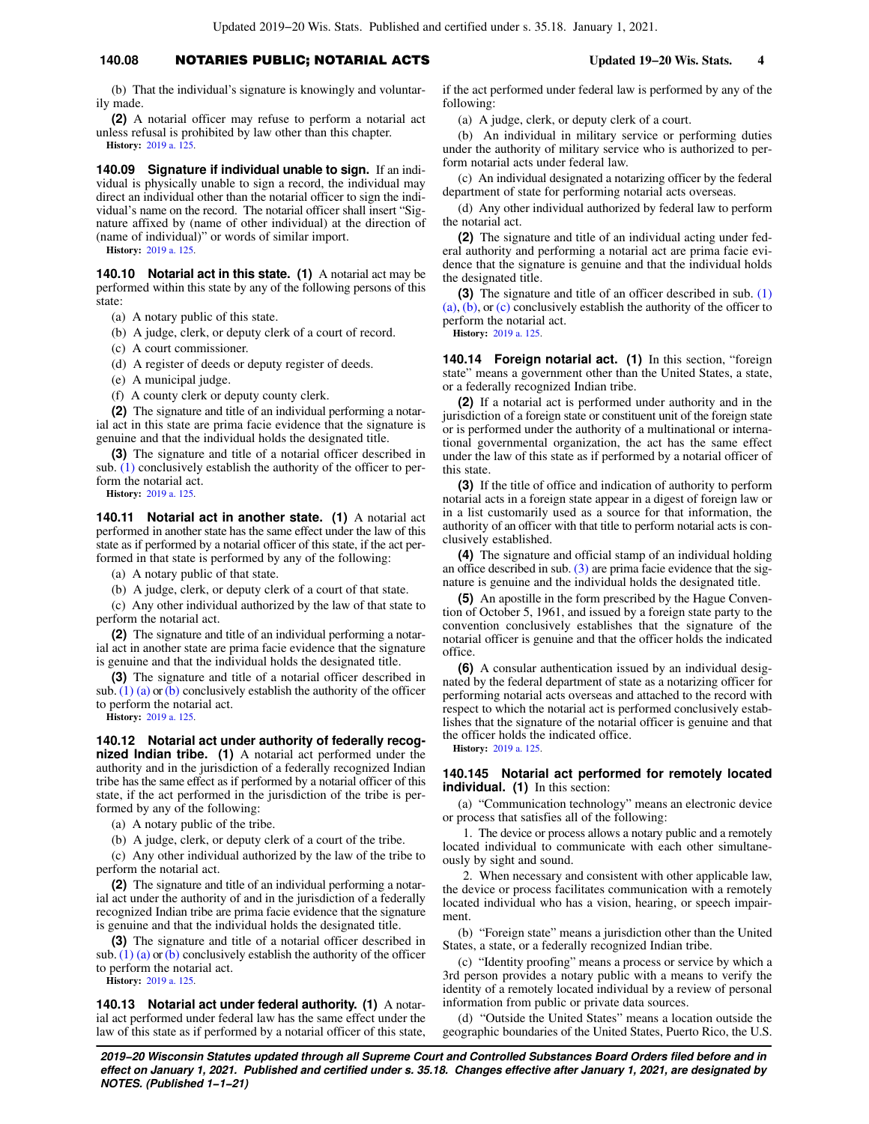### **140.08** NOTARIES PUBLIC; NOTARIAL ACTS **Updated 19−20 Wis. Stats. 4**

(b) That the individual's signature is knowingly and voluntarily made.

**(2)** A notarial officer may refuse to perform a notarial act unless refusal is prohibited by law other than this chapter. **History:** [2019 a. 125](https://docs-preview.legis.wisconsin.gov/document/acts/2019/125).

**140.09 Signature if individual unable to sign.** If an individual is physically unable to sign a record, the individual may direct an individual other than the notarial officer to sign the individual's name on the record. The notarial officer shall insert "Signature affixed by (name of other individual) at the direction of (name of individual)" or words of similar import.

**History:** [2019 a. 125](https://docs-preview.legis.wisconsin.gov/document/acts/2019/125).

**140.10 Notarial act in this state. (1)** A notarial act may be performed within this state by any of the following persons of this state:

(a) A notary public of this state.

(b) A judge, clerk, or deputy clerk of a court of record.

(c) A court commissioner.

(d) A register of deeds or deputy register of deeds.

(e) A municipal judge.

(f) A county clerk or deputy county clerk.

**(2)** The signature and title of an individual performing a notarial act in this state are prima facie evidence that the signature is genuine and that the individual holds the designated title.

**(3)** The signature and title of a notarial officer described in sub. [\(1\)](https://docs-preview.legis.wisconsin.gov/document/statutes/140.10(1)) conclusively establish the authority of the officer to perform the notarial act.

**History:** [2019 a. 125](https://docs-preview.legis.wisconsin.gov/document/acts/2019/125).

**140.11 Notarial act in another state. (1)** A notarial act performed in another state has the same effect under the law of this state as if performed by a notarial officer of this state, if the act performed in that state is performed by any of the following:

(a) A notary public of that state.

(b) A judge, clerk, or deputy clerk of a court of that state.

(c) Any other individual authorized by the law of that state to perform the notarial act.

**(2)** The signature and title of an individual performing a notarial act in another state are prima facie evidence that the signature is genuine and that the individual holds the designated title.

**(3)** The signature and title of a notarial officer described in sub.  $(1)$  (a) or [\(b\)](https://docs-preview.legis.wisconsin.gov/document/statutes/140.11(1)(b)) conclusively establish the authority of the officer to perform the notarial act.

**History:** [2019 a. 125](https://docs-preview.legis.wisconsin.gov/document/acts/2019/125).

**140.12 Notarial act under authority of federally recognized Indian tribe. (1)** A notarial act performed under the authority and in the jurisdiction of a federally recognized Indian tribe has the same effect as if performed by a notarial officer of this state, if the act performed in the jurisdiction of the tribe is performed by any of the following:

(a) A notary public of the tribe.

(b) A judge, clerk, or deputy clerk of a court of the tribe.

(c) Any other individual authorized by the law of the tribe to perform the notarial act.

**(2)** The signature and title of an individual performing a notarial act under the authority of and in the jurisdiction of a federally recognized Indian tribe are prima facie evidence that the signature is genuine and that the individual holds the designated title.

**(3)** The signature and title of a notarial officer described in sub. [\(1\) \(a\)](https://docs-preview.legis.wisconsin.gov/document/statutes/140.12(1)(a)) or [\(b\)](https://docs-preview.legis.wisconsin.gov/document/statutes/140.12(1)(b)) conclusively establish the authority of the officer to perform the notarial act.

**History:** [2019 a. 125](https://docs-preview.legis.wisconsin.gov/document/acts/2019/125).

**140.13 Notarial act under federal authority. (1)** A notarial act performed under federal law has the same effect under the law of this state as if performed by a notarial officer of this state, if the act performed under federal law is performed by any of the following:

(a) A judge, clerk, or deputy clerk of a court.

(b) An individual in military service or performing duties under the authority of military service who is authorized to perform notarial acts under federal law.

(c) An individual designated a notarizing officer by the federal department of state for performing notarial acts overseas.

(d) Any other individual authorized by federal law to perform the notarial act.

**(2)** The signature and title of an individual acting under federal authority and performing a notarial act are prima facie evidence that the signature is genuine and that the individual holds the designated title.

**(3)** The signature and title of an officer described in sub. [\(1\)](https://docs-preview.legis.wisconsin.gov/document/statutes/140.13(1)(a)) [\(a\)](https://docs-preview.legis.wisconsin.gov/document/statutes/140.13(1)(a)), [\(b\),](https://docs-preview.legis.wisconsin.gov/document/statutes/140.13(1)(b)) or [\(c\)](https://docs-preview.legis.wisconsin.gov/document/statutes/140.13(1)(c)) conclusively establish the authority of the officer to perform the notarial act.

**History:** [2019 a. 125.](https://docs-preview.legis.wisconsin.gov/document/acts/2019/125)

**140.14 Foreign notarial act. (1)** In this section, "foreign state" means a government other than the United States, a state, or a federally recognized Indian tribe.

**(2)** If a notarial act is performed under authority and in the jurisdiction of a foreign state or constituent unit of the foreign state or is performed under the authority of a multinational or international governmental organization, the act has the same effect under the law of this state as if performed by a notarial officer of this state.

**(3)** If the title of office and indication of authority to perform notarial acts in a foreign state appear in a digest of foreign law or in a list customarily used as a source for that information, the authority of an officer with that title to perform notarial acts is conclusively established.

**(4)** The signature and official stamp of an individual holding an office described in sub.  $(3)$  are prima facie evidence that the signature is genuine and the individual holds the designated title.

**(5)** An apostille in the form prescribed by the Hague Convention of October 5, 1961, and issued by a foreign state party to the convention conclusively establishes that the signature of the notarial officer is genuine and that the officer holds the indicated office.

**(6)** A consular authentication issued by an individual designated by the federal department of state as a notarizing officer for performing notarial acts overseas and attached to the record with respect to which the notarial act is performed conclusively establishes that the signature of the notarial officer is genuine and that the officer holds the indicated office. **History:** [2019 a. 125.](https://docs-preview.legis.wisconsin.gov/document/acts/2019/125)

**140.145 Notarial act performed for remotely located individual. (1)** In this section:

(a) "Communication technology" means an electronic device or process that satisfies all of the following:

1. The device or process allows a notary public and a remotely located individual to communicate with each other simultaneously by sight and sound.

2. When necessary and consistent with other applicable law, the device or process facilitates communication with a remotely located individual who has a vision, hearing, or speech impairment.

(b) "Foreign state" means a jurisdiction other than the United States, a state, or a federally recognized Indian tribe.

(c) "Identity proofing" means a process or service by which a 3rd person provides a notary public with a means to verify the identity of a remotely located individual by a review of personal information from public or private data sources.

(d) "Outside the United States" means a location outside the geographic boundaries of the United States, Puerto Rico, the U.S.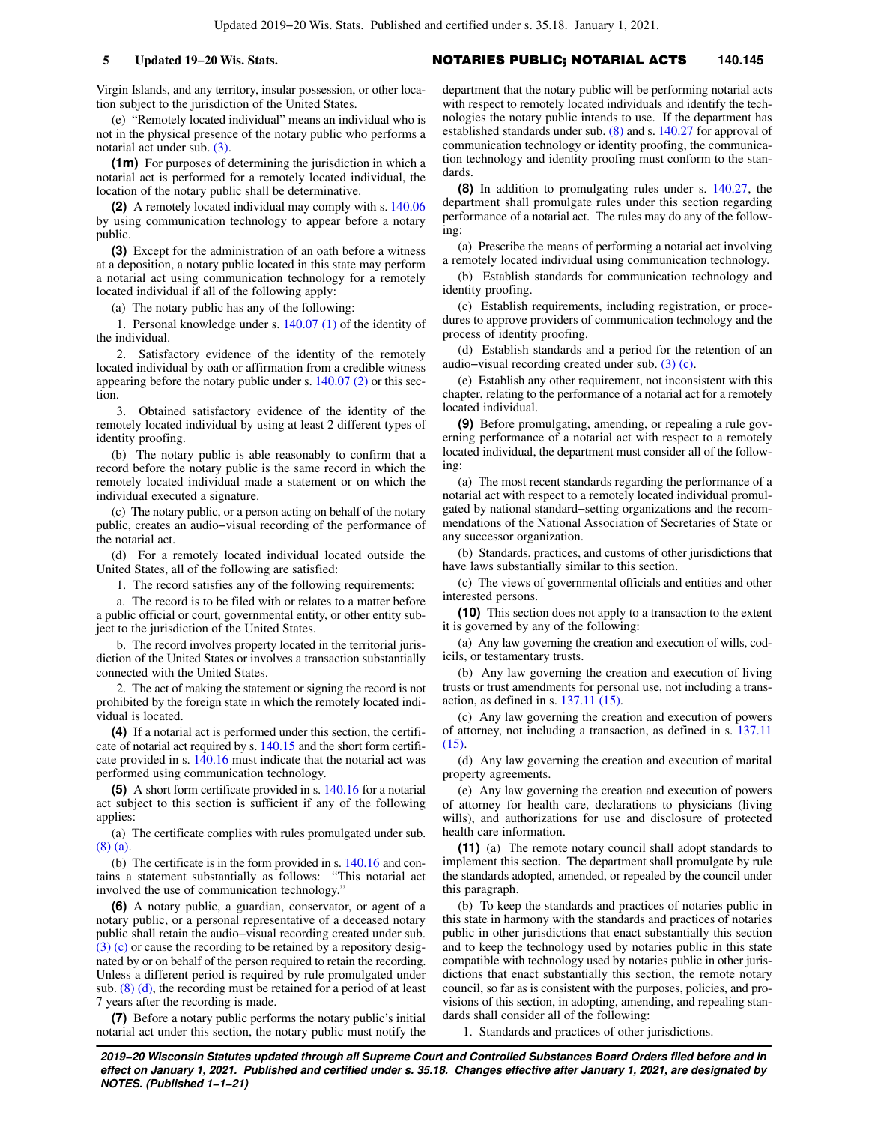Virgin Islands, and any territory, insular possession, or other location subject to the jurisdiction of the United States.

(e) "Remotely located individual" means an individual who is not in the physical presence of the notary public who performs a notarial act under sub. [\(3\)](https://docs-preview.legis.wisconsin.gov/document/statutes/140.145(3)).

**(1m)** For purposes of determining the jurisdiction in which a notarial act is performed for a remotely located individual, the location of the notary public shall be determinative.

**(2)** A remotely located individual may comply with s. [140.06](https://docs-preview.legis.wisconsin.gov/document/statutes/140.06) by using communication technology to appear before a notary public.

**(3)** Except for the administration of an oath before a witness at a deposition, a notary public located in this state may perform a notarial act using communication technology for a remotely located individual if all of the following apply:

(a) The notary public has any of the following:

1. Personal knowledge under s. [140.07 \(1\)](https://docs-preview.legis.wisconsin.gov/document/statutes/140.07(1)) of the identity of the individual.

2. Satisfactory evidence of the identity of the remotely located individual by oath or affirmation from a credible witness appearing before the notary public under s. [140.07 \(2\)](https://docs-preview.legis.wisconsin.gov/document/statutes/140.07(2)) or this section.

3. Obtained satisfactory evidence of the identity of the remotely located individual by using at least 2 different types of identity proofing.

(b) The notary public is able reasonably to confirm that a record before the notary public is the same record in which the remotely located individual made a statement or on which the individual executed a signature.

(c) The notary public, or a person acting on behalf of the notary public, creates an audio−visual recording of the performance of the notarial act.

(d) For a remotely located individual located outside the United States, all of the following are satisfied:

1. The record satisfies any of the following requirements:

a. The record is to be filed with or relates to a matter before a public official or court, governmental entity, or other entity subject to the jurisdiction of the United States.

b. The record involves property located in the territorial jurisdiction of the United States or involves a transaction substantially connected with the United States.

2. The act of making the statement or signing the record is not prohibited by the foreign state in which the remotely located individual is located.

**(4)** If a notarial act is performed under this section, the certificate of notarial act required by s. [140.15](https://docs-preview.legis.wisconsin.gov/document/statutes/140.15) and the short form certificate provided in s. [140.16](https://docs-preview.legis.wisconsin.gov/document/statutes/140.16) must indicate that the notarial act was performed using communication technology.

**(5)** A short form certificate provided in s. [140.16](https://docs-preview.legis.wisconsin.gov/document/statutes/140.16) for a notarial act subject to this section is sufficient if any of the following applies:

(a) The certificate complies with rules promulgated under sub. [\(8\) \(a\).](https://docs-preview.legis.wisconsin.gov/document/statutes/140.145(8)(a))

(b) The certificate is in the form provided in s. [140.16](https://docs-preview.legis.wisconsin.gov/document/statutes/140.16) and contains a statement substantially as follows: "This notarial act involved the use of communication technology."

**(6)** A notary public, a guardian, conservator, or agent of a notary public, or a personal representative of a deceased notary public shall retain the audio−visual recording created under sub. [\(3\) \(c\)](https://docs-preview.legis.wisconsin.gov/document/statutes/140.145(3)(c)) or cause the recording to be retained by a repository designated by or on behalf of the person required to retain the recording. Unless a different period is required by rule promulgated under sub.  $(8)$  (d), the recording must be retained for a period of at least 7 years after the recording is made.

**(7)** Before a notary public performs the notary public's initial notarial act under this section, the notary public must notify the department that the notary public will be performing notarial acts with respect to remotely located individuals and identify the technologies the notary public intends to use. If the department has established standards under sub. [\(8\)](https://docs-preview.legis.wisconsin.gov/document/statutes/140.145(8)) and s. [140.27](https://docs-preview.legis.wisconsin.gov/document/statutes/140.27) for approval of communication technology or identity proofing, the communication technology and identity proofing must conform to the standards.

**(8)** In addition to promulgating rules under s. [140.27](https://docs-preview.legis.wisconsin.gov/document/statutes/140.27), the department shall promulgate rules under this section regarding performance of a notarial act. The rules may do any of the following:

(a) Prescribe the means of performing a notarial act involving a remotely located individual using communication technology.

(b) Establish standards for communication technology and identity proofing.

(c) Establish requirements, including registration, or procedures to approve providers of communication technology and the process of identity proofing.

(d) Establish standards and a period for the retention of an audio−visual recording created under sub. [\(3\) \(c\).](https://docs-preview.legis.wisconsin.gov/document/statutes/140.145(3)(c))

(e) Establish any other requirement, not inconsistent with this chapter, relating to the performance of a notarial act for a remotely located individual.

**(9)** Before promulgating, amending, or repealing a rule governing performance of a notarial act with respect to a remotely located individual, the department must consider all of the following:

(a) The most recent standards regarding the performance of a notarial act with respect to a remotely located individual promulgated by national standard−setting organizations and the recommendations of the National Association of Secretaries of State or any successor organization.

(b) Standards, practices, and customs of other jurisdictions that have laws substantially similar to this section.

(c) The views of governmental officials and entities and other interested persons.

**(10)** This section does not apply to a transaction to the extent it is governed by any of the following:

(a) Any law governing the creation and execution of wills, codicils, or testamentary trusts.

(b) Any law governing the creation and execution of living trusts or trust amendments for personal use, not including a transaction, as defined in s. [137.11 \(15\)](https://docs-preview.legis.wisconsin.gov/document/statutes/137.11(15)).

(c) Any law governing the creation and execution of powers of attorney, not including a transaction, as defined in s. [137.11](https://docs-preview.legis.wisconsin.gov/document/statutes/137.11(15)) [\(15\)](https://docs-preview.legis.wisconsin.gov/document/statutes/137.11(15)).

(d) Any law governing the creation and execution of marital property agreements.

(e) Any law governing the creation and execution of powers of attorney for health care, declarations to physicians (living wills), and authorizations for use and disclosure of protected health care information.

**(11)** (a) The remote notary council shall adopt standards to implement this section. The department shall promulgate by rule the standards adopted, amended, or repealed by the council under this paragraph.

(b) To keep the standards and practices of notaries public in this state in harmony with the standards and practices of notaries public in other jurisdictions that enact substantially this section and to keep the technology used by notaries public in this state compatible with technology used by notaries public in other jurisdictions that enact substantially this section, the remote notary council, so far as is consistent with the purposes, policies, and provisions of this section, in adopting, amending, and repealing standards shall consider all of the following:

1. Standards and practices of other jurisdictions.

**2019−20 Wisconsin Statutes updated through all Supreme Court and Controlled Substances Board Orders filed before and in effect on January 1, 2021. Published and certified under s. 35.18. Changes effective after January 1, 2021, are designated by NOTES. (Published 1−1−21)**

## **5 Updated 19−20 Wis. Stats.** NOTARIES PUBLIC; NOTARIAL ACTS **140.145**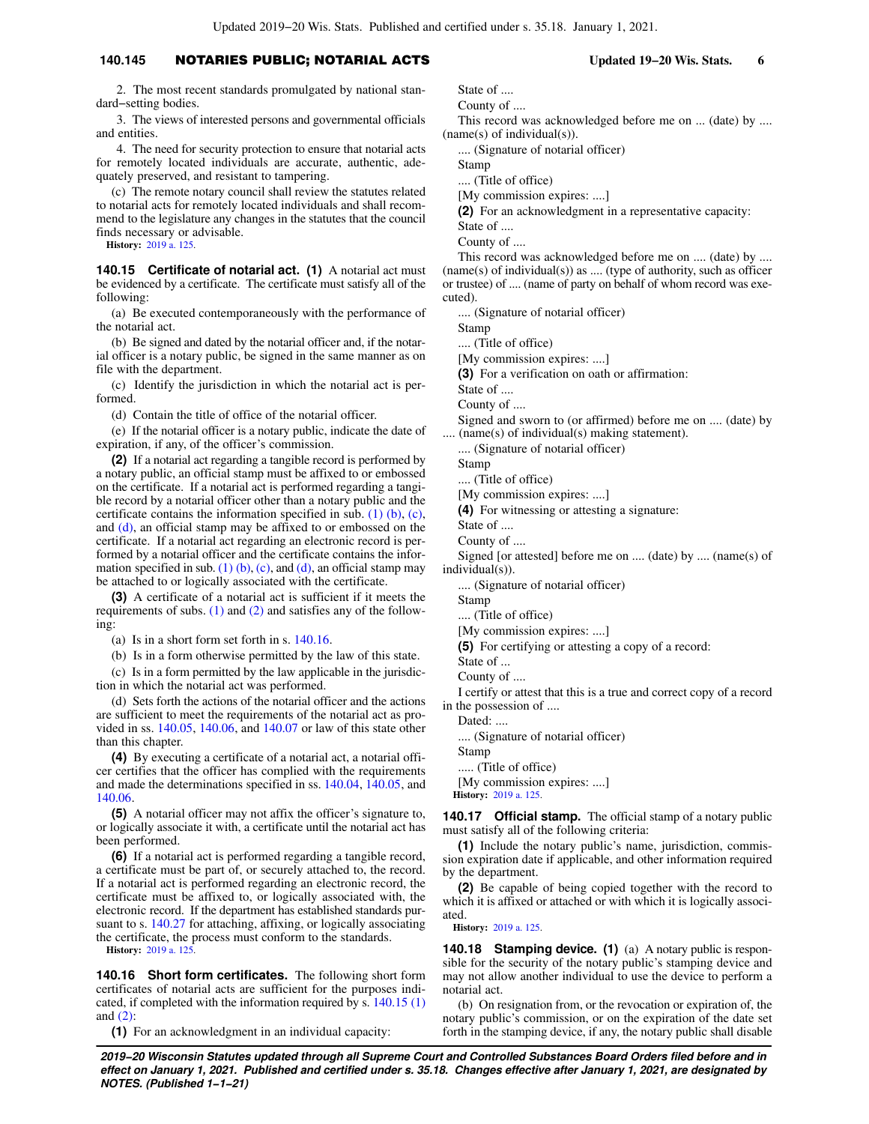### **140.145** NOTARIES PUBLIC; NOTARIAL ACTS **Updated 19−20 Wis. Stats. 6**

2. The most recent standards promulgated by national standard−setting bodies.

3. The views of interested persons and governmental officials and entities.

4. The need for security protection to ensure that notarial acts for remotely located individuals are accurate, authentic, adequately preserved, and resistant to tampering.

(c) The remote notary council shall review the statutes related to notarial acts for remotely located individuals and shall recommend to the legislature any changes in the statutes that the council finds necessary or advisable.

**History:** [2019 a. 125](https://docs-preview.legis.wisconsin.gov/document/acts/2019/125).

**140.15 Certificate of notarial act. (1)** A notarial act must be evidenced by a certificate. The certificate must satisfy all of the following:

(a) Be executed contemporaneously with the performance of the notarial act.

(b) Be signed and dated by the notarial officer and, if the notarial officer is a notary public, be signed in the same manner as on file with the department.

(c) Identify the jurisdiction in which the notarial act is performed.

(d) Contain the title of office of the notarial officer.

(e) If the notarial officer is a notary public, indicate the date of expiration, if any, of the officer's commission.

**(2)** If a notarial act regarding a tangible record is performed by a notary public, an official stamp must be affixed to or embossed on the certificate. If a notarial act is performed regarding a tangible record by a notarial officer other than a notary public and the certificate contains the information specified in sub. [\(1\) \(b\)](https://docs-preview.legis.wisconsin.gov/document/statutes/140.15(1)(b)), [\(c\),](https://docs-preview.legis.wisconsin.gov/document/statutes/140.15(1)(c)) and [\(d\),](https://docs-preview.legis.wisconsin.gov/document/statutes/140.15(1)(d)) an official stamp may be affixed to or embossed on the certificate. If a notarial act regarding an electronic record is performed by a notarial officer and the certificate contains the infor-mation specified in sub. [\(1\) \(b\),](https://docs-preview.legis.wisconsin.gov/document/statutes/140.15(1)(b)) [\(c\)](https://docs-preview.legis.wisconsin.gov/document/statutes/140.15(1)(c)), and [\(d\),](https://docs-preview.legis.wisconsin.gov/document/statutes/140.15(1)(d)) an official stamp may be attached to or logically associated with the certificate.

**(3)** A certificate of a notarial act is sufficient if it meets the requirements of subs.  $(1)$  and  $(2)$  and satisfies any of the following:

(a) Is in a short form set forth in s. [140.16](https://docs-preview.legis.wisconsin.gov/document/statutes/140.16).

(b) Is in a form otherwise permitted by the law of this state.

(c) Is in a form permitted by the law applicable in the jurisdiction in which the notarial act was performed.

(d) Sets forth the actions of the notarial officer and the actions are sufficient to meet the requirements of the notarial act as provided in ss. [140.05,](https://docs-preview.legis.wisconsin.gov/document/statutes/140.05) [140.06](https://docs-preview.legis.wisconsin.gov/document/statutes/140.06), and [140.07](https://docs-preview.legis.wisconsin.gov/document/statutes/140.07) or law of this state other than this chapter.

**(4)** By executing a certificate of a notarial act, a notarial officer certifies that the officer has complied with the requirements and made the determinations specified in ss. [140.04](https://docs-preview.legis.wisconsin.gov/document/statutes/140.04), [140.05,](https://docs-preview.legis.wisconsin.gov/document/statutes/140.05) and [140.06.](https://docs-preview.legis.wisconsin.gov/document/statutes/140.06)

**(5)** A notarial officer may not affix the officer's signature to, or logically associate it with, a certificate until the notarial act has been performed.

**(6)** If a notarial act is performed regarding a tangible record, a certificate must be part of, or securely attached to, the record. If a notarial act is performed regarding an electronic record, the certificate must be affixed to, or logically associated with, the electronic record. If the department has established standards pursuant to s. [140.27](https://docs-preview.legis.wisconsin.gov/document/statutes/140.27) for attaching, affixing, or logically associating the certificate, the process must conform to the standards. **History:** [2019 a. 125](https://docs-preview.legis.wisconsin.gov/document/acts/2019/125).

**140.16 Short form certificates.** The following short form certificates of notarial acts are sufficient for the purposes indicated, if completed with the information required by s. [140.15 \(1\)](https://docs-preview.legis.wisconsin.gov/document/statutes/140.15(1)) and [\(2\):](https://docs-preview.legis.wisconsin.gov/document/statutes/140.15(2))

**(1)** For an acknowledgment in an individual capacity:

State of .... County of ....

This record was acknowledged before me on ... (date) by .... (name(s) of individual(s)).

.... (Signature of notarial officer)

Stamp

.... (Title of office)

[My commission expires: ....]

**(2)** For an acknowledgment in a representative capacity:

State of ....

County of ....

This record was acknowledged before me on .... (date) by .... (name(s) of individual(s)) as .... (type of authority, such as officer or trustee) of .... (name of party on behalf of whom record was executed).

.... (Signature of notarial officer)

Stamp

.... (Title of office)

[My commission expires: ....]

**(3)** For a verification on oath or affirmation:

State of ....

County of ....

Signed and sworn to (or affirmed) before me on .... (date) by  $(name(s) of individual(s) making statement).$ 

.... (Signature of notarial officer)

Stamp

.... (Title of office)

[My commission expires: ....]

**(4)** For witnessing or attesting a signature:

State of ....

County of ....

Signed [or attested] before me on .... (date) by .... (name(s) of

individual(s)).

.... (Signature of notarial officer)

Stamp

.... (Title of office)

[My commission expires: ....]

**(5)** For certifying or attesting a copy of a record:

State of ...

County of ....

I certify or attest that this is a true and correct copy of a record in the possession of ....

Dated: ....

.... (Signature of notarial officer)

Stamp

..... (Title of office)

[My commission expires: ....] **History:** [2019 a. 125.](https://docs-preview.legis.wisconsin.gov/document/acts/2019/125)

**140.17 Official stamp.** The official stamp of a notary public must satisfy all of the following criteria:

**(1)** Include the notary public's name, jurisdiction, commission expiration date if applicable, and other information required by the department.

**(2)** Be capable of being copied together with the record to which it is affixed or attached or with which it is logically associated.

**History:** [2019 a. 125.](https://docs-preview.legis.wisconsin.gov/document/acts/2019/125)

**140.18 Stamping device. (1)** (a) A notary public is responsible for the security of the notary public's stamping device and may not allow another individual to use the device to perform a notarial act.

(b) On resignation from, or the revocation or expiration of, the notary public's commission, or on the expiration of the date set forth in the stamping device, if any, the notary public shall disable